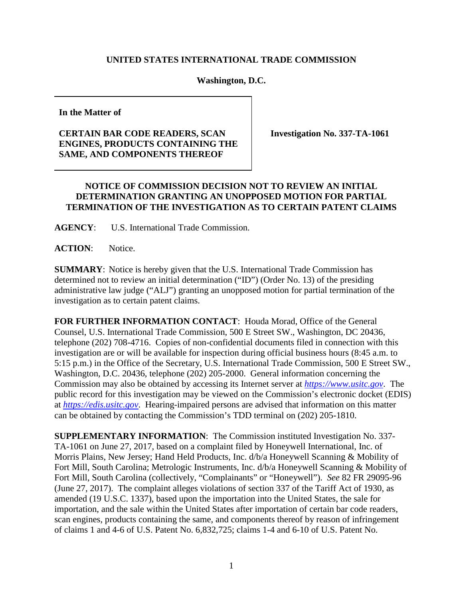## **UNITED STATES INTERNATIONAL TRADE COMMISSION**

## **Washington, D.C.**

**In the Matter of**

## **CERTAIN BAR CODE READERS, SCAN ENGINES, PRODUCTS CONTAINING THE SAME, AND COMPONENTS THEREOF**

**Investigation No. 337-TA-1061**

## **NOTICE OF COMMISSION DECISION NOT TO REVIEW AN INITIAL DETERMINATION GRANTING AN UNOPPOSED MOTION FOR PARTIAL TERMINATION OF THE INVESTIGATION AS TO CERTAIN PATENT CLAIMS**

**AGENCY**: U.S. International Trade Commission.

**ACTION**: Notice.

**SUMMARY**: Notice is hereby given that the U.S. International Trade Commission has determined not to review an initial determination ("ID") (Order No. 13) of the presiding administrative law judge ("ALJ") granting an unopposed motion for partial termination of the investigation as to certain patent claims.

**FOR FURTHER INFORMATION CONTACT**: Houda Morad, Office of the General Counsel, U.S. International Trade Commission, 500 E Street SW., Washington, DC 20436, telephone (202) 708-4716. Copies of non-confidential documents filed in connection with this investigation are or will be available for inspection during official business hours (8:45 a.m. to 5:15 p.m.) in the Office of the Secretary, U.S. International Trade Commission, 500 E Street SW., Washington, D.C. 20436, telephone (202) 205-2000. General information concerning the Commission may also be obtained by accessing its Internet server at *[https://www.usitc.gov](https://www.usitc.gov/)*. The public record for this investigation may be viewed on the Commission's electronic docket (EDIS) at *[https://edis.usitc.gov](http://edis.usitc.gov/)*. Hearing-impaired persons are advised that information on this matter can be obtained by contacting the Commission's TDD terminal on (202) 205-1810.

**SUPPLEMENTARY INFORMATION**: The Commission instituted Investigation No. 337- TA-1061 on June 27, 2017, based on a complaint filed by Honeywell International, Inc. of Morris Plains, New Jersey; Hand Held Products, Inc. d/b/a Honeywell Scanning & Mobility of Fort Mill, South Carolina; Metrologic Instruments, Inc. d/b/a Honeywell Scanning & Mobility of Fort Mill, South Carolina (collectively, "Complainants" or "Honeywell"). *See* 82 FR 29095-96 (June 27, 2017). The complaint alleges violations of section 337 of the Tariff Act of 1930, as amended (19 U.S.C. 1337), based upon the importation into the United States, the sale for importation, and the sale within the United States after importation of certain bar code readers, scan engines, products containing the same, and components thereof by reason of infringement of claims 1 and 4-6 of U.S. Patent No. 6,832,725; claims 1-4 and 6-10 of U.S. Patent No.